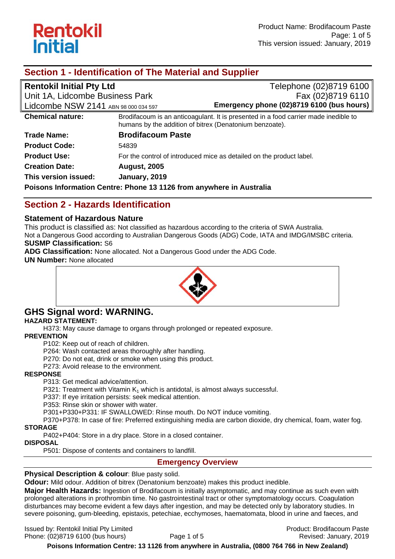

## **Section 1 - Identification of The Material and Supplier**

| <b>Rentokil Initial Pty Ltd</b>                                      |                                                         | Telephone (02)8719 6100                                                             |
|----------------------------------------------------------------------|---------------------------------------------------------|-------------------------------------------------------------------------------------|
| Unit 1A, Lidcombe Business Park                                      |                                                         | Fax (02)8719 6110                                                                   |
| Lidcombe NSW 2141 ABN 98 000 034 597                                 |                                                         | Emergency phone (02)8719 6100 (bus hours)                                           |
| <b>Chemical nature:</b>                                              | humans by the addition of bitrex (Denatonium benzoate). | Brodifacoum is an anticoagulant. It is presented in a food carrier made inedible to |
| <b>Trade Name:</b>                                                   | <b>Brodifacoum Paste</b>                                |                                                                                     |
| <b>Product Code:</b>                                                 | 54839                                                   |                                                                                     |
| <b>Product Use:</b>                                                  |                                                         | For the control of introduced mice as detailed on the product label.                |
| <b>Creation Date:</b>                                                | <b>August, 2005</b>                                     |                                                                                     |
| This version issued:                                                 | January, 2019                                           |                                                                                     |
| Poisons Information Centre: Phone 13 1126 from anywhere in Australia |                                                         |                                                                                     |

## **Section 2 - Hazards Identification**

#### **Statement of Hazardous Nature**

This product is classified as: Not classified as hazardous according to the criteria of SWA Australia. Not a Dangerous Good according to Australian Dangerous Goods (ADG) Code, IATA and IMDG/IMSBC criteria. **SUSMP Classification:** S6

**ADG Classification:** None allocated. Not a Dangerous Good under the ADG Code.

**UN Number:** None allocated



# **GHS Signal word: WARNING.**

#### **HAZARD STATEMENT:**

H373: May cause damage to organs through prolonged or repeated exposure.

#### **PREVENTION**

P102: Keep out of reach of children.

P264: Wash contacted areas thoroughly after handling.

P270: Do not eat, drink or smoke when using this product.

P273: Avoid release to the environment.

#### **RESPONSE**

P313: Get medical advice/attention.

P321: Treatment with Vitamin  $K_1$  which is antidotal, is almost always successful.

P337: If eye irritation persists: seek medical attention.

P353: Rinse skin or shower with water.

P301+P330+P331: IF SWALLOWED: Rinse mouth. Do NOT induce vomiting.

P370+P378: In case of fire: Preferred extinguishing media are carbon dioxide, dry chemical, foam, water fog.

#### **STORAGE**

P402+P404: Store in a dry place. Store in a closed container.

#### **DISPOSAL**

P501: Dispose of contents and containers to landfill.

#### **Emergency Overview**

#### **Physical Description & colour: Blue pasty solid.**

**Odour:** Mild odour. Addition of bitrex (Denatonium benzoate) makes this product inedible.

**Major Health Hazards:** Ingestion of Brodifacoum is initially asymptomatic, and may continue as such even with prolonged alterations in prothrombin time. No gastrointestinal tract or other symptomatology occurs. Coagulation disturbances may become evident a few days after ingestion, and may be detected only by laboratory studies. In severe poisoning, gum-bleeding, epistaxis, petechiae, ecchymoses, haematomata, blood in urine and faeces, and

Issued by: Rentokil Initial Pty Limited Product: Brodifacoum Paste Phone: (02)8719 6100 (bus hours) Page 1 of 5 Revised: January, 2019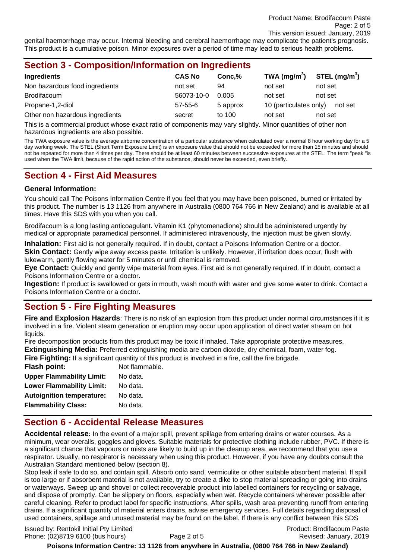genital haemorrhage may occur. Internal bleeding and cerebral haemorrhage may complicate the patient's prognosis. This product is a cumulative poison. Minor exposures over a period of time may lead to serious health problems.

| <b>Section 3 - Composition/Information on Ingredients</b> |  |
|-----------------------------------------------------------|--|
|-----------------------------------------------------------|--|

| Ingredients                     | <b>CAS No</b> | Conc.%   | TWA (mg/m $3$ )        | STEL (mg/m <sup>3</sup> ) |
|---------------------------------|---------------|----------|------------------------|---------------------------|
| Non hazardous food ingredients  | not set       | 94       | not set                | not set                   |
| <b>Brodifacoum</b>              | 56073-10-0    | 0.005    | not set                | not set                   |
| Propane-1,2-diol                | $57 - 55 - 6$ | 5 approx | 10 (particulates only) | not set                   |
| Other non hazardous ingredients | secret        | to 100   | not set                | not set                   |

This is a commercial product whose exact ratio of components may vary slightly. Minor quantities of other non hazardous ingredients are also possible.

The TWA exposure value is the average airborne concentration of a particular substance when calculated over a normal 8 hour working day for a 5 day working week. The STEL (Short Term Exposure Limit) is an exposure value that should not be exceeded for more than 15 minutes and should not be repeated for more than 4 times per day. There should be at least 60 minutes between successive exposures at the STEL. The term "peak "is used when the TWA limit, because of the rapid action of the substance, should never be exceeded, even briefly.

## **Section 4 - First Aid Measures**

#### **General Information:**

You should call The Poisons Information Centre if you feel that you may have been poisoned, burned or irritated by this product. The number is 13 1126 from anywhere in Australia (0800 764 766 in New Zealand) and is available at all times. Have this SDS with you when you call.

Brodifacoum is a long lasting anticoagulant. Vitamin K1 (phytomenadione) should be administered urgently by medical or appropriate paramedical personnel. If administered intravenously, the injection must be given slowly.

**Inhalation:** First aid is not generally required. If in doubt, contact a Poisons Information Centre or a doctor. **Skin Contact:** Gently wipe away excess paste. Irritation is unlikely. However, if irritation does occur, flush with lukewarm, gently flowing water for 5 minutes or until chemical is removed.

**Eye Contact:** Quickly and gently wipe material from eyes. First aid is not generally required. If in doubt, contact a Poisons Information Centre or a doctor.

**Ingestion:** If product is swallowed or gets in mouth, wash mouth with water and give some water to drink. Contact a Poisons Information Centre or a doctor.

## **Section 5 - Fire Fighting Measures**

**Fire and Explosion Hazards**: There is no risk of an explosion from this product under normal circumstances if it is involved in a fire. Violent steam generation or eruption may occur upon application of direct water stream on hot liquids.

Fire decomposition products from this product may be toxic if inhaled. Take appropriate protective measures. **Extinguishing Media:** Preferred extinguishing media are carbon dioxide, dry chemical, foam, water fog.

Fire Fighting: If a significant quantity of this product is involved in a fire, call the fire brigade.

| <b>Flash point:</b>              | Not flammable. |
|----------------------------------|----------------|
| <b>Upper Flammability Limit:</b> | No data.       |
| <b>Lower Flammability Limit:</b> | No data.       |
| <b>Autoignition temperature:</b> | No data.       |
| <b>Flammability Class:</b>       | No data.       |

## **Section 6 - Accidental Release Measures**

**Accidental release:** In the event of a major spill, prevent spillage from entering drains or water courses. As a minimum, wear overalls, goggles and gloves. Suitable materials for protective clothing include rubber, PVC. If there is a significant chance that vapours or mists are likely to build up in the cleanup area, we recommend that you use a respirator. Usually, no respirator is necessary when using this product. However, if you have any doubts consult the Australian Standard mentioned below (section 8).

Stop leak if safe to do so, and contain spill. Absorb onto sand, vermiculite or other suitable absorbent material. If spill is too large or if absorbent material is not available, try to create a dike to stop material spreading or going into drains or waterways. Sweep up and shovel or collect recoverable product into labelled containers for recycling or salvage, and dispose of promptly. Can be slippery on floors, especially when wet. Recycle containers wherever possible after careful cleaning. Refer to product label for specific instructions. After spills, wash area preventing runoff from entering drains. If a significant quantity of material enters drains, advise emergency services. Full details regarding disposal of used containers, spillage and unused material may be found on the label. If there is any conflict between this SDS

Issued by: Rentokil Initial Pty Limited Product: Brodifacoum Paste Phone: (02)8719 6100 (bus hours) Page 2 of 5 Revised: January, 2019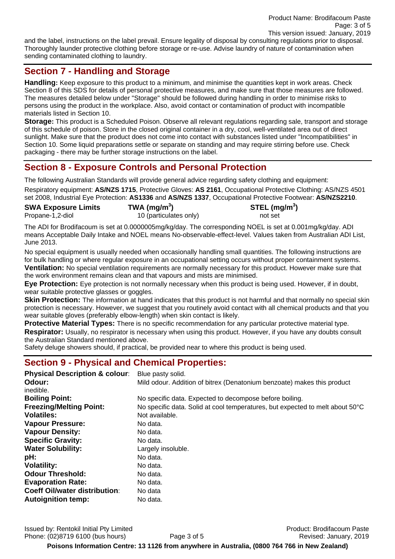and the label, instructions on the label prevail. Ensure legality of disposal by consulting regulations prior to disposal. Thoroughly launder protective clothing before storage or re-use. Advise laundry of nature of contamination when sending contaminated clothing to laundry.

## **Section 7 - Handling and Storage**

**Handling:** Keep exposure to this product to a minimum, and minimise the quantities kept in work areas. Check Section 8 of this SDS for details of personal protective measures, and make sure that those measures are followed. The measures detailed below under "Storage" should be followed during handling in order to minimise risks to persons using the product in the workplace. Also, avoid contact or contamination of product with incompatible materials listed in Section 10.

**Storage:** This product is a Scheduled Poison. Observe all relevant regulations regarding sale, transport and storage of this schedule of poison. Store in the closed original container in a dry, cool, well-ventilated area out of direct sunlight. Make sure that the product does not come into contact with substances listed under "Incompatibilities" in Section 10. Some liquid preparations settle or separate on standing and may require stirring before use. Check packaging - there may be further storage instructions on the label.

# **Section 8 - Exposure Controls and Personal Protection**

The following Australian Standards will provide general advice regarding safety clothing and equipment:

Respiratory equipment: **AS/NZS 1715**, Protective Gloves: **AS 2161**, Occupational Protective Clothing: AS/NZS 4501 set 2008, Industrial Eye Protection: **AS1336** and **AS/NZS 1337**, Occupational Protective Footwear: **AS/NZS2210**.

**SWA Exposure Limits TWA (mg/m<sup>3</sup>** Propane-1,2-diol 10 (particulates only) not set

**) STEL (mg/m<sup>3</sup> )** 

The ADI for Brodifacoum is set at 0.0000005mg/kg/day. The corresponding NOEL is set at 0.001mg/kg/day. ADI means Acceptable Daily Intake and NOEL means No-observable-effect-level. Values taken from Australian ADI List, June 2013.

No special equipment is usually needed when occasionally handling small quantities. The following instructions are for bulk handling or where regular exposure in an occupational setting occurs without proper containment systems. **Ventilation:** No special ventilation requirements are normally necessary for this product. However make sure that the work environment remains clean and that vapours and mists are minimised.

**Eye Protection:** Eye protection is not normally necessary when this product is being used. However, if in doubt, wear suitable protective glasses or goggles.

**Skin Protection:** The information at hand indicates that this product is not harmful and that normally no special skin protection is necessary. However, we suggest that you routinely avoid contact with all chemical products and that you wear suitable gloves (preferably elbow-length) when skin contact is likely.

**Protective Material Types:** There is no specific recommendation for any particular protective material type. **Respirator:** Usually, no respirator is necessary when using this product. However, if you have any doubts consult the Australian Standard mentioned above.

Safety deluge showers should, if practical, be provided near to where this product is being used.

## **Section 9 - Physical and Chemical Properties:**

| <b>Physical Description &amp; colour:</b><br>Odour:<br>inedible. | Blue pasty solid.<br>Mild odour. Addition of bitrex (Denatonium benzoate) makes this product |
|------------------------------------------------------------------|----------------------------------------------------------------------------------------------|
| <b>Boiling Point:</b>                                            | No specific data. Expected to decompose before boiling.                                      |
| <b>Freezing/Melting Point:</b>                                   | No specific data. Solid at cool temperatures, but expected to melt about 50°C                |
| <b>Volatiles:</b>                                                | Not available.                                                                               |
| <b>Vapour Pressure:</b>                                          | No data.                                                                                     |
| <b>Vapour Density:</b>                                           | No data.                                                                                     |
| <b>Specific Gravity:</b>                                         | No data.                                                                                     |
| <b>Water Solubility:</b>                                         | Largely insoluble.                                                                           |
| pH:                                                              | No data.                                                                                     |
| <b>Volatility:</b>                                               | No data.                                                                                     |
| <b>Odour Threshold:</b>                                          | No data.                                                                                     |
| <b>Evaporation Rate:</b>                                         | No data.                                                                                     |
| <b>Coeff Oil/water distribution:</b>                             | No data                                                                                      |
| <b>Autoignition temp:</b>                                        | No data.                                                                                     |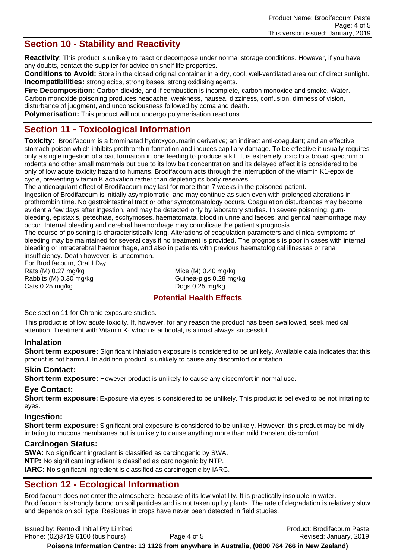# **Section 10 - Stability and Reactivity**

**Reactivity**: This product is unlikely to react or decompose under normal storage conditions. However, if you have any doubts, contact the supplier for advice on shelf life properties.

**Conditions to Avoid:** Store in the closed original container in a dry, cool, well-ventilated area out of direct sunlight. **Incompatibilities:** strong acids, strong bases, strong oxidising agents.

Fire Decomposition: Carbon dioxide, and if combustion is incomplete, carbon monoxide and smoke. Water. Carbon monoxide poisoning produces headache, weakness, nausea, dizziness, confusion, dimness of vision, disturbance of judgment, and unconsciousness followed by coma and death.

**Polymerisation:** This product will not undergo polymerisation reactions.

## **Section 11 - Toxicological Information**

**Toxicity:** Brodifacoum is a brominated hydroxycoumarin derivative; an indirect anti-coagulant; and an effective stomach poison which inhibits prothrombin formation and induces capillary damage. To be effective it usually requires only a single ingestion of a bait formation in one feeding to produce a kill. It is extremely toxic to a broad spectrum of rodents and other small mammals but due to its low bait concentration and its delayed effect it is considered to be only of low acute toxicity hazard to humans. Brodifacoum acts through the interruption of the vitamin K1-epoxide cycle, preventing vitamin K activation rather than depleting its body reserves.

The anticoagulant effect of Brodifacoum may last for more than 7 weeks in the poisoned patient.

Ingestion of Brodifacoum is initially asymptomatic, and may continue as such even with prolonged alterations in prothrombin time. No gastrointestinal tract or other symptomatology occurs. Coagulation disturbances may become evident a few days after ingestion, and may be detected only by laboratory studies. In severe poisoning, gumbleeding, epistaxis, petechiae, ecchymoses, haematomata, blood in urine and faeces, and genital haemorrhage may occur. Internal bleeding and cerebral haemorrhage may complicate the patient's prognosis.

The course of poisoning is characteristically long. Alterations of coagulation parameters and clinical symptoms of bleeding may be maintained for several days if no treatment is provided. The prognosis is poor in cases with internal bleeding or intracerebral haemorrhage, and also in patients with previous haematological illnesses or renal insufficiency. Death however, is uncommon.

For Brodifacoum, Oral  $LD_{50}$ : Rats  $(M)$  0.27 mg/kg  $M$  Mice  $(M)$  0.40 mg/kg Rabbits (M) 0.30 mg/kg Guinea-pigs 0.28 mg/kg Cats 0.25 mg/kg Dogs 0.25 mg/kg

#### **Potential Health Effects**

See section 11 for Chronic exposure studies.

This product is of low *acute* toxicity. If, however, for any reason the product has been swallowed, seek medical attention. Treatment with Vitamin  $K_1$  which is antidotal, is almost always successful.

### **Inhalation**

**Short term exposure:** Significant inhalation exposure is considered to be unlikely. Available data indicates that this product is not harmful. In addition product is unlikely to cause any discomfort or irritation.

#### **Skin Contact:**

**Short term exposure:** However product is unlikely to cause any discomfort in normal use.

#### **Eye Contact:**

**Short term exposure:** Exposure via eyes is considered to be unlikely. This product is believed to be not irritating to eyes.

#### **Ingestion:**

**Short term exposure:** Significant oral exposure is considered to be unlikely. However, this product may be mildly irritating to mucous membranes but is unlikely to cause anything more than mild transient discomfort.

#### **Carcinogen Status:**

**SWA:** No significant ingredient is classified as carcinogenic by SWA. **NTP:** No significant ingredient is classified as carcinogenic by NTP. **IARC:** No significant ingredient is classified as carcinogenic by IARC.

## **Section 12 - Ecological Information**

Brodifacoum does not enter the atmosphere, because of its low volatility. It is practically insoluble in water. Brodifacoum is strongly bound on soil particles and is not taken up by plants. The rate of degradation is relatively slow and depends on soil type. Residues in crops have never been detected in field studies.

Issued by: Rentokil Initial Pty Limited Product: Brodifacoum Paste Phone: (02)8719 6100 (bus hours) Page 4 of 5 Revised: January, 2019